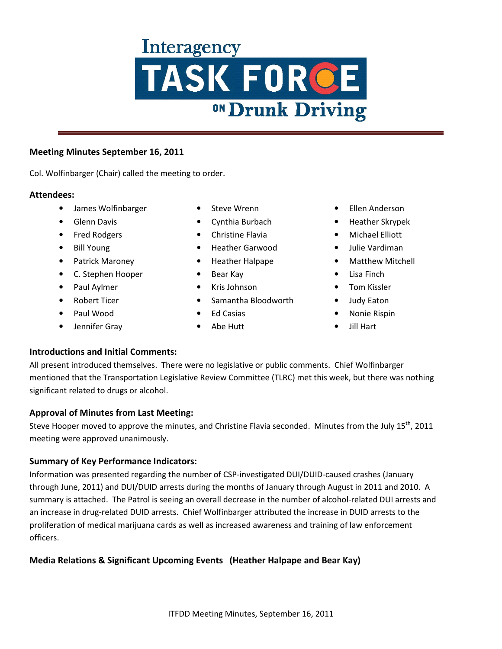#### **Meeting Minutes September 16, 2011**

Col. Wolfinbarger (Chair) called the meeting to order.

#### **Attendees:**

- James Wolfinbarger
- Glenn Davis
- Fred Rodgers
- Bill Young
- Patrick Maroney
- C. Stephen Hooper
- Paul Aylmer
- Robert Ticer
- Paul Wood
- Jennifer Gray
- Steve Wrenn
- Cynthia Burbach
- Christine Flavia
- Heather Garwood
- Heather Halpape
- Bear Kay
- Kris Johnson
- Samantha Bloodworth
- Ed Casias
- Abe Hutt
- Ellen Anderson
- Heather Skrypek
- Michael Elliott
- Julie Vardiman
- Matthew Mitchell
- Lisa Finch
- Tom Kissler
- Judy Eaton
- Nonie Rispin
- Jill Hart

## **Introductions and Initial Comments:**

All present introduced themselves. There were no legislative or public comments. Chief Wolfinbarger mentioned that the Transportation Legislative Review Committee (TLRC) met this week, but there was nothing significant related to drugs or alcohol.

## **Approval of Minutes from Last Meeting:**

Steve Hooper moved to approve the minutes, and Christine Flavia seconded. Minutes from the July 15<sup>th</sup>, 2011 meeting were approved unanimously.

## **Summary of Key Performance Indicators:**

Information was presented regarding the number of CSP-investigated DUI/DUID-caused crashes (January through June, 2011) and DUI/DUID arrests during the months of January through August in 2011 and 2010. A summary is attached. The Patrol is seeing an overall decrease in the number of alcohol-related DUI arrests and an increase in drug-related DUID arrests. Chief Wolfinbarger attributed the increase in DUID arrests to the proliferation of medical marijuana cards as well as increased awareness and training of law enforcement officers.

## **Media Relations & Significant Upcoming Events (Heather Halpape and Bear Kay)**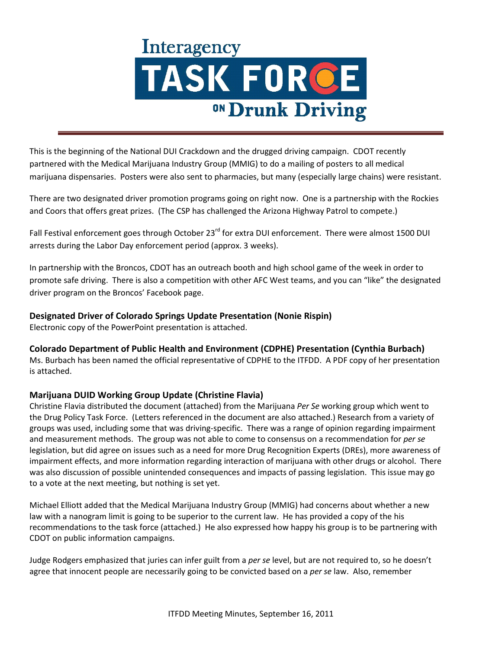This is the beginning of the National DUI Crackdown and the drugged driving campaign. CDOT recently partnered with the Medical Marijuana Industry Group (MMIG) to do a mailing of posters to all medical marijuana dispensaries. Posters were also sent to pharmacies, but many (especially large chains) were resistant.

There are two designated driver promotion programs going on right now. One is a partnership with the Rockies and Coors that offers great prizes. (The CSP has challenged the Arizona Highway Patrol to compete.)

Fall Festival enforcement goes through October 23<sup>rd</sup> for extra DUI enforcement. There were almost 1500 DUI arrests during the Labor Day enforcement period (approx. 3 weeks).

In partnership with the Broncos, CDOT has an outreach booth and high school game of the week in order to promote safe driving. There is also a competition with other AFC West teams, and you can "like" the designated driver program on the Broncos' Facebook page.

## **Designated Driver of Colorado Springs Update Presentation (Nonie Rispin)**

Electronic copy of the PowerPoint presentation is attached.

## **Colorado Department of Public Health and Environment (CDPHE) Presentation (Cynthia Burbach)**

Ms. Burbach has been named the official representative of CDPHE to the ITFDD. A PDF copy of her presentation is attached.

## **Marijuana DUID Working Group Update (Christine Flavia)**

Christine Flavia distributed the document (attached) from the Marijuana *Per Se* working group which went to the Drug Policy Task Force. (Letters referenced in the document are also attached.) Research from a variety of groups was used, including some that was driving-specific. There was a range of opinion regarding impairment and measurement methods. The group was not able to come to consensus on a recommendation for *per se* legislation, but did agree on issues such as a need for more Drug Recognition Experts (DREs), more awareness of impairment effects, and more information regarding interaction of marijuana with other drugs or alcohol. There was also discussion of possible unintended consequences and impacts of passing legislation. This issue may go to a vote at the next meeting, but nothing is set yet.

Michael Elliott added that the Medical Marijuana Industry Group (MMIG) had concerns about whether a new law with a nanogram limit is going to be superior to the current law. He has provided a copy of the his recommendations to the task force (attached.) He also expressed how happy his group is to be partnering with CDOT on public information campaigns.

Judge Rodgers emphasized that juries can infer guilt from a *per se* level, but are not required to, so he doesn't agree that innocent people are necessarily going to be convicted based on a *per se* law. Also, remember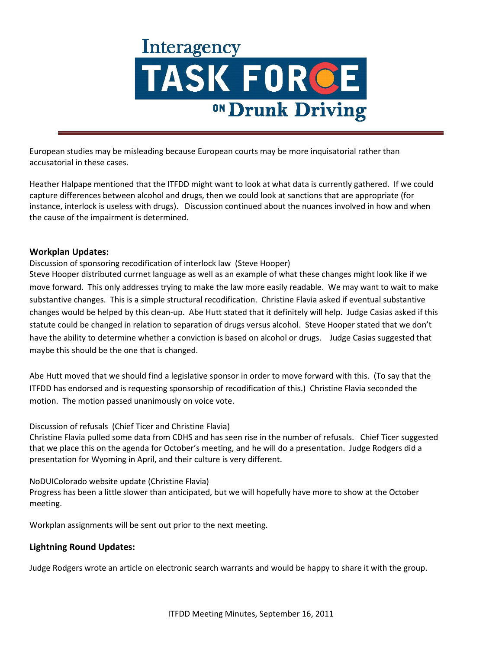European studies may be misleading because European courts may be more inquisatorial rather than accusatorial in these cases.

Heather Halpape mentioned that the ITFDD might want to look at what data is currently gathered. If we could capture differences between alcohol and drugs, then we could look at sanctions that are appropriate (for instance, interlock is useless with drugs). Discussion continued about the nuances involved in how and when the cause of the impairment is determined.

#### **Workplan Updates:**

Discussion of sponsoring recodification of interlock law (Steve Hooper)

Steve Hooper distributed currnet language as well as an example of what these changes might look like if we move forward. This only addresses trying to make the law more easily readable. We may want to wait to make substantive changes. This is a simple structural recodification. Christine Flavia asked if eventual substantive changes would be helped by this clean-up. Abe Hutt stated that it definitely will help. Judge Casias asked if this statute could be changed in relation to separation of drugs versus alcohol. Steve Hooper stated that we don't have the ability to determine whether a conviction is based on alcohol or drugs. Judge Casias suggested that maybe this should be the one that is changed.

Abe Hutt moved that we should find a legislative sponsor in order to move forward with this. (To say that the ITFDD has endorsed and is requesting sponsorship of recodification of this.) Christine Flavia seconded the motion. The motion passed unanimously on voice vote.

Discussion of refusals (Chief Ticer and Christine Flavia)

Christine Flavia pulled some data from CDHS and has seen rise in the number of refusals. Chief Ticer suggested that we place this on the agenda for October's meeting, and he will do a presentation. Judge Rodgers did a presentation for Wyoming in April, and their culture is very different.

NoDUIColorado website update (Christine Flavia) Progress has been a little slower than anticipated, but we will hopefully have more to show at the October meeting.

Workplan assignments will be sent out prior to the next meeting.

#### **Lightning Round Updates:**

Judge Rodgers wrote an article on electronic search warrants and would be happy to share it with the group.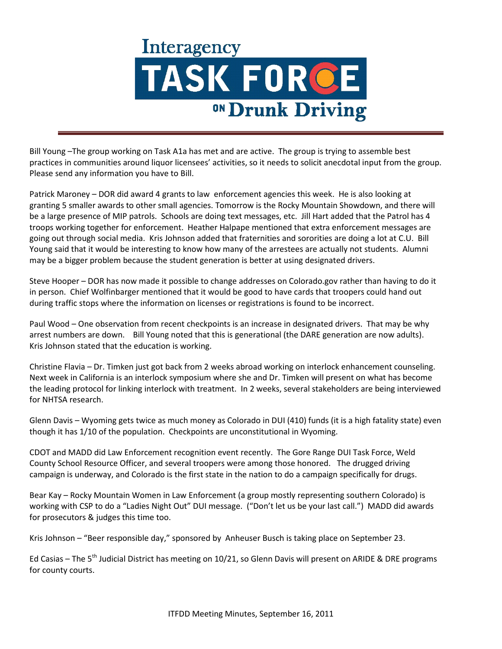Bill Young –The group working on Task A1a has met and are active. The group is trying to assemble best practices in communities around liquor licensees' activities, so it needs to solicit anecdotal input from the group. Please send any information you have to Bill.

Patrick Maroney – DOR did award 4 grants to law enforcement agencies this week. He is also looking at granting 5 smaller awards to other small agencies. Tomorrow is the Rocky Mountain Showdown, and there will be a large presence of MIP patrols. Schools are doing text messages, etc. Jill Hart added that the Patrol has 4 troops working together for enforcement. Heather Halpape mentioned that extra enforcement messages are going out through social media. Kris Johnson added that fraternities and sororities are doing a lot at C.U. Bill Young said that it would be interesting to know how many of the arrestees are actually not students. Alumni may be a bigger problem because the student generation is better at using designated drivers.

Steve Hooper – DOR has now made it possible to change addresses on Colorado.gov rather than having to do it in person. Chief Wolfinbarger mentioned that it would be good to have cards that troopers could hand out during traffic stops where the information on licenses or registrations is found to be incorrect.

Paul Wood – One observation from recent checkpoints is an increase in designated drivers. That may be why arrest numbers are down. Bill Young noted that this is generational (the DARE generation are now adults). Kris Johnson stated that the education is working.

Christine Flavia – Dr. Timken just got back from 2 weeks abroad working on interlock enhancement counseling. Next week in California is an interlock symposium where she and Dr. Timken will present on what has become the leading protocol for linking interlock with treatment. In 2 weeks, several stakeholders are being interviewed for NHTSA research.

Glenn Davis – Wyoming gets twice as much money as Colorado in DUI (410) funds (it is a high fatality state) even though it has 1/10 of the population. Checkpoints are unconstitutional in Wyoming.

CDOT and MADD did Law Enforcement recognition event recently. The Gore Range DUI Task Force, Weld County School Resource Officer, and several troopers were among those honored. The drugged driving campaign is underway, and Colorado is the first state in the nation to do a campaign specifically for drugs.

Bear Kay – Rocky Mountain Women in Law Enforcement (a group mostly representing southern Colorado) is working with CSP to do a "Ladies Night Out" DUI message. ("Don't let us be your last call.") MADD did awards for prosecutors & judges this time too.

Kris Johnson – "Beer responsible day," sponsored by Anheuser Busch is taking place on September 23.

Ed Casias – The 5<sup>th</sup> Judicial District has meeting on 10/21, so Glenn Davis will present on ARIDE & DRE programs for county courts.